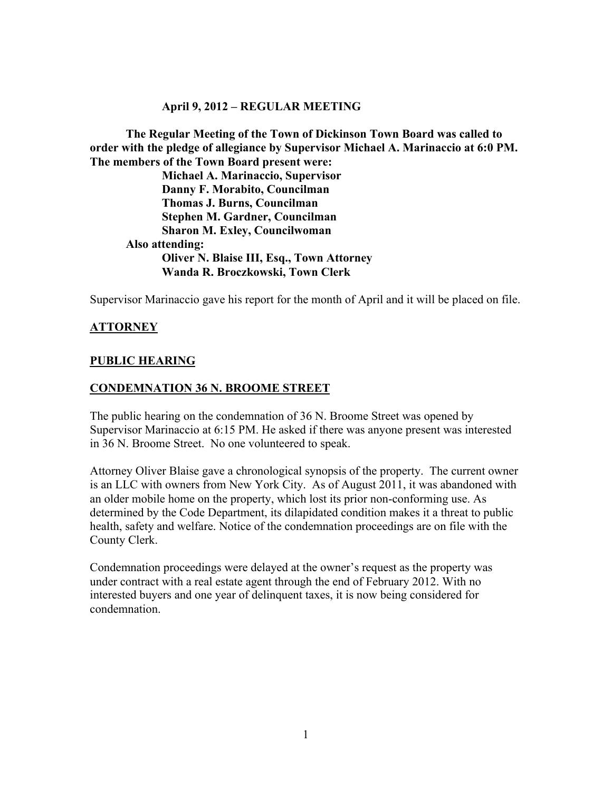### **April 9, 2012 – REGULAR MEETING**

**The Regular Meeting of the Town of Dickinson Town Board was called to order with the pledge of allegiance by Supervisor Michael A. Marinaccio at 6:0 PM. The members of the Town Board present were:**

**Michael A. Marinaccio, Supervisor Danny F. Morabito, Councilman Thomas J. Burns, Councilman Stephen M. Gardner, Councilman Sharon M. Exley, Councilwoman Also attending: Oliver N. Blaise III, Esq., Town Attorney Wanda R. Broczkowski, Town Clerk**

Supervisor Marinaccio gave his report for the month of April and it will be placed on file.

# **ATTORNEY**

### **PUBLIC HEARING**

### **CONDEMNATION 36 N. BROOME STREET**

The public hearing on the condemnation of 36 N. Broome Street was opened by Supervisor Marinaccio at 6:15 PM. He asked if there was anyone present was interested in 36 N. Broome Street. No one volunteered to speak.

Attorney Oliver Blaise gave a chronological synopsis of the property. The current owner is an LLC with owners from New York City. As of August 2011, it was abandoned with an older mobile home on the property, which lost its prior non-conforming use. As determined by the Code Department, its dilapidated condition makes it a threat to public health, safety and welfare. Notice of the condemnation proceedings are on file with the County Clerk.

Condemnation proceedings were delayed at the owner's request as the property was under contract with a real estate agent through the end of February 2012. With no interested buyers and one year of delinquent taxes, it is now being considered for condemnation.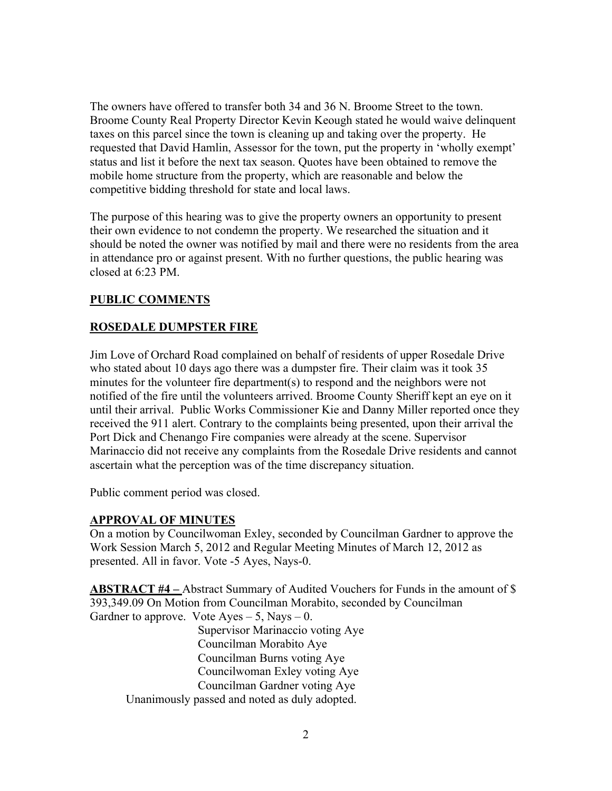The owners have offered to transfer both 34 and 36 N. Broome Street to the town. Broome County Real Property Director Kevin Keough stated he would waive delinquent taxes on this parcel since the town is cleaning up and taking over the property. He requested that David Hamlin, Assessor for the town, put the property in 'wholly exempt' status and list it before the next tax season. Quotes have been obtained to remove the mobile home structure from the property, which are reasonable and below the competitive bidding threshold for state and local laws.

The purpose of this hearing was to give the property owners an opportunity to present their own evidence to not condemn the property. We researched the situation and it should be noted the owner was notified by mail and there were no residents from the area in attendance pro or against present. With no further questions, the public hearing was closed at  $6:23$  PM.

# **PUBLIC COMMENTS**

### **ROSEDALE DUMPSTER FIRE**

Jim Love of Orchard Road complained on behalf of residents of upper Rosedale Drive who stated about 10 days ago there was a dumpster fire. Their claim was it took 35 minutes for the volunteer fire department(s) to respond and the neighbors were not notified of the fire until the volunteers arrived. Broome County Sheriff kept an eye on it until their arrival. Public Works Commissioner Kie and Danny Miller reported once they received the 911 alert. Contrary to the complaints being presented, upon their arrival the Port Dick and Chenango Fire companies were already at the scene. Supervisor Marinaccio did not receive any complaints from the Rosedale Drive residents and cannot ascertain what the perception was of the time discrepancy situation.

Public comment period was closed.

### **APPROVAL OF MINUTES**

On a motion by Councilwoman Exley, seconded by Councilman Gardner to approve the Work Session March 5, 2012 and Regular Meeting Minutes of March 12, 2012 as presented. All in favor. Vote -5 Ayes, Nays-0.

**ABSTRACT #4 –** Abstract Summary of Audited Vouchers for Funds in the amount of \$ 393,349.09 On Motion from Councilman Morabito, seconded by Councilman Gardner to approve. Vote  $A$ yes  $-5$ , Nays  $-0$ .

Supervisor Marinaccio voting Aye Councilman Morabito Aye Councilman Burns voting Aye Councilwoman Exley voting Aye Councilman Gardner voting Aye Unanimously passed and noted as duly adopted.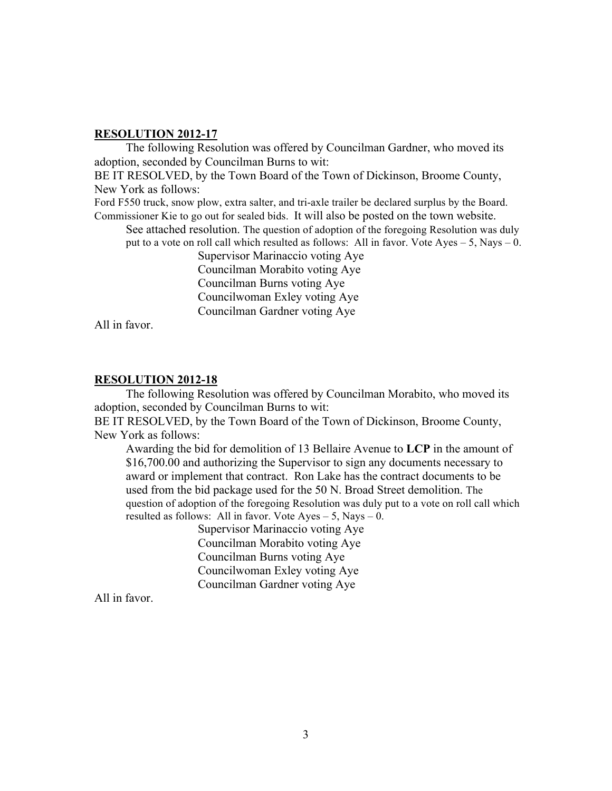The following Resolution was offered by Councilman Gardner, who moved its adoption, seconded by Councilman Burns to wit:

BE IT RESOLVED, by the Town Board of the Town of Dickinson, Broome County, New York as follows:

Ford F550 truck, snow plow, extra salter, and tri-axle trailer be declared surplus by the Board. Commissioner Kie to go out for sealed bids. It will also be posted on the town website.

See attached resolution. The question of adoption of the foregoing Resolution was duly put to a vote on roll call which resulted as follows: All in favor. Vote Ayes – 5, Nays – 0.

> Supervisor Marinaccio voting Aye Councilman Morabito voting Aye Councilman Burns voting Aye Councilwoman Exley voting Aye Councilman Gardner voting Aye

All in favor.

#### **RESOLUTION 2012-18**

The following Resolution was offered by Councilman Morabito, who moved its adoption, seconded by Councilman Burns to wit:

BE IT RESOLVED, by the Town Board of the Town of Dickinson, Broome County, New York as follows:

Awarding the bid for demolition of 13 Bellaire Avenue to **LCP** in the amount of \$16,700.00 and authorizing the Supervisor to sign any documents necessary to award or implement that contract. Ron Lake has the contract documents to be used from the bid package used for the 50 N. Broad Street demolition. The question of adoption of the foregoing Resolution was duly put to a vote on roll call which resulted as follows: All in favor. Vote  $Ayes - 5$ , Nays  $- 0$ .

Supervisor Marinaccio voting Aye Councilman Morabito voting Aye Councilman Burns voting Aye Councilwoman Exley voting Aye Councilman Gardner voting Aye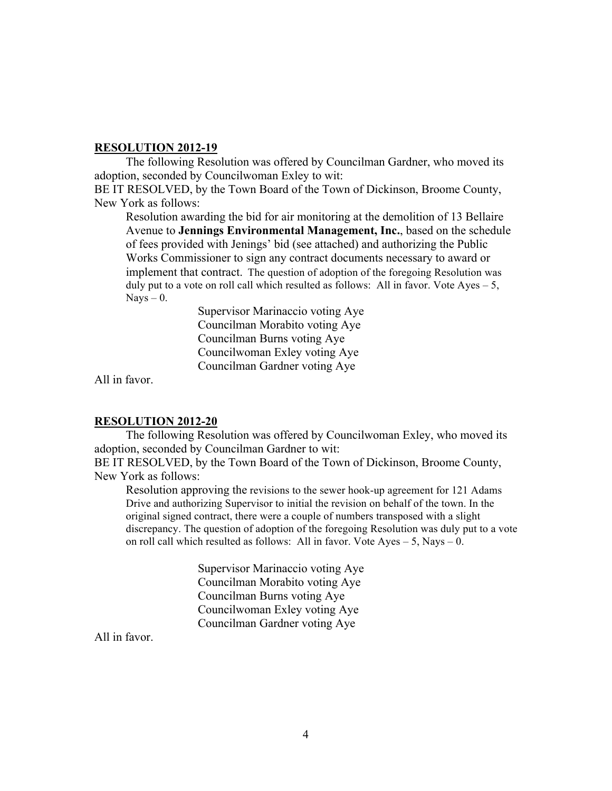The following Resolution was offered by Councilman Gardner, who moved its adoption, seconded by Councilwoman Exley to wit:

BE IT RESOLVED, by the Town Board of the Town of Dickinson, Broome County, New York as follows:

Resolution awarding the bid for air monitoring at the demolition of 13 Bellaire Avenue to **Jennings Environmental Management, Inc.**, based on the schedule of fees provided with Jenings' bid (see attached) and authorizing the Public Works Commissioner to sign any contract documents necessary to award or implement that contract. The question of adoption of the foregoing Resolution was duly put to a vote on roll call which resulted as follows: All in favor. Vote Ayes  $-5$ ,  $Nays - 0$ .

> Supervisor Marinaccio voting Aye Councilman Morabito voting Aye Councilman Burns voting Aye Councilwoman Exley voting Aye Councilman Gardner voting Aye

All in favor.

### **RESOLUTION 2012-20**

The following Resolution was offered by Councilwoman Exley, who moved its adoption, seconded by Councilman Gardner to wit:

BE IT RESOLVED, by the Town Board of the Town of Dickinson, Broome County, New York as follows:

Resolution approving the revisions to the sewer hook-up agreement for 121 Adams Drive and authorizing Supervisor to initial the revision on behalf of the town. In the original signed contract, there were a couple of numbers transposed with a slight discrepancy. The question of adoption of the foregoing Resolution was duly put to a vote on roll call which resulted as follows: All in favor. Vote  $Ayes - 5$ , Nays  $- 0$ .

> Supervisor Marinaccio voting Aye Councilman Morabito voting Aye Councilman Burns voting Aye Councilwoman Exley voting Aye Councilman Gardner voting Aye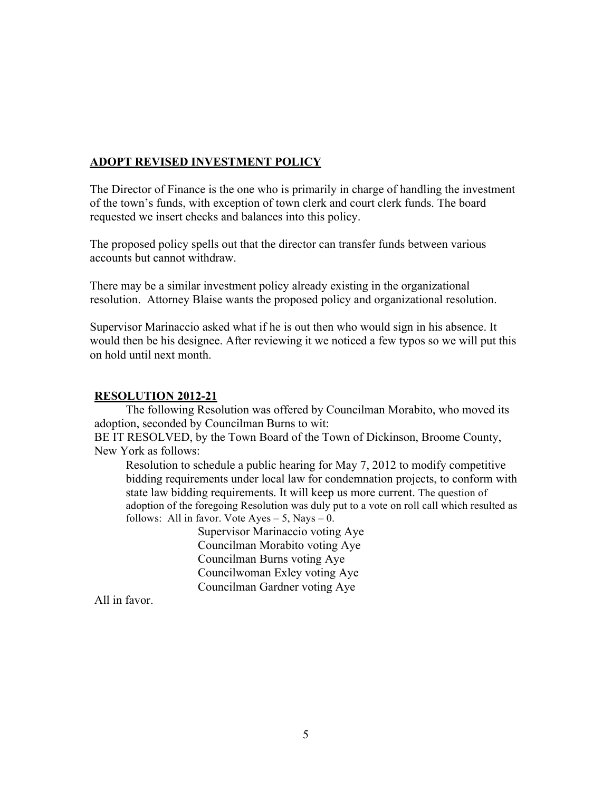# **ADOPT REVISED INVESTMENT POLICY**

The Director of Finance is the one who is primarily in charge of handling the investment of the town's funds, with exception of town clerk and court clerk funds. The board requested we insert checks and balances into this policy.

The proposed policy spells out that the director can transfer funds between various accounts but cannot withdraw.

There may be a similar investment policy already existing in the organizational resolution. Attorney Blaise wants the proposed policy and organizational resolution.

Supervisor Marinaccio asked what if he is out then who would sign in his absence. It would then be his designee. After reviewing it we noticed a few typos so we will put this on hold until next month.

# **RESOLUTION 2012-21**

The following Resolution was offered by Councilman Morabito, who moved its adoption, seconded by Councilman Burns to wit:

BE IT RESOLVED, by the Town Board of the Town of Dickinson, Broome County, New York as follows:

Resolution to schedule a public hearing for May 7, 2012 to modify competitive bidding requirements under local law for condemnation projects, to conform with state law bidding requirements. It will keep us more current. The question of adoption of the foregoing Resolution was duly put to a vote on roll call which resulted as follows: All in favor. Vote  $Ayes - 5$ , Nays  $- 0$ .

Supervisor Marinaccio voting Aye Councilman Morabito voting Aye Councilman Burns voting Aye Councilwoman Exley voting Aye Councilman Gardner voting Aye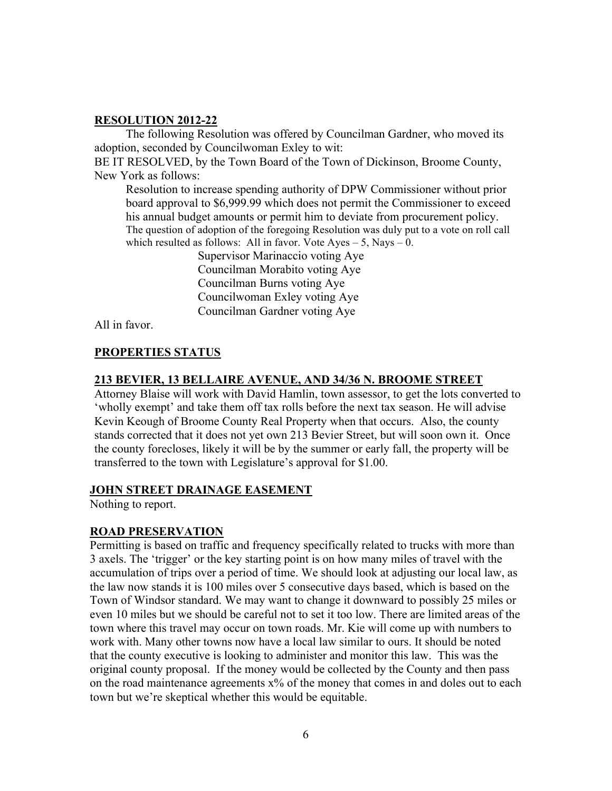The following Resolution was offered by Councilman Gardner, who moved its adoption, seconded by Councilwoman Exley to wit:

BE IT RESOLVED, by the Town Board of the Town of Dickinson, Broome County, New York as follows:

Resolution to increase spending authority of DPW Commissioner without prior board approval to \$6,999.99 which does not permit the Commissioner to exceed his annual budget amounts or permit him to deviate from procurement policy. The question of adoption of the foregoing Resolution was duly put to a vote on roll call which resulted as follows: All in favor. Vote  $Ayes - 5$ , Nays  $- 0$ .

> Supervisor Marinaccio voting Aye Councilman Morabito voting Aye Councilman Burns voting Aye Councilwoman Exley voting Aye Councilman Gardner voting Aye

All in favor.

# **PROPERTIES STATUS**

### **213 BEVIER, 13 BELLAIRE AVENUE, AND 34/36 N. BROOME STREET**

Attorney Blaise will work with David Hamlin, town assessor, to get the lots converted to 'wholly exempt' and take them off tax rolls before the next tax season. He will advise Kevin Keough of Broome County Real Property when that occurs. Also, the county stands corrected that it does not yet own 213 Bevier Street, but will soon own it. Once the county forecloses, likely it will be by the summer or early fall, the property will be transferred to the town with Legislature's approval for \$1.00.

### **JOHN STREET DRAINAGE EASEMENT**

Nothing to report.

### **ROAD PRESERVATION**

Permitting is based on traffic and frequency specifically related to trucks with more than 3 axels. The 'trigger' or the key starting point is on how many miles of travel with the accumulation of trips over a period of time. We should look at adjusting our local law, as the law now stands it is 100 miles over 5 consecutive days based, which is based on the Town of Windsor standard. We may want to change it downward to possibly 25 miles or even 10 miles but we should be careful not to set it too low. There are limited areas of the town where this travel may occur on town roads. Mr. Kie will come up with numbers to work with. Many other towns now have a local law similar to ours. It should be noted that the county executive is looking to administer and monitor this law. This was the original county proposal. If the money would be collected by the County and then pass on the road maintenance agreements  $x\%$  of the money that comes in and doles out to each town but we're skeptical whether this would be equitable.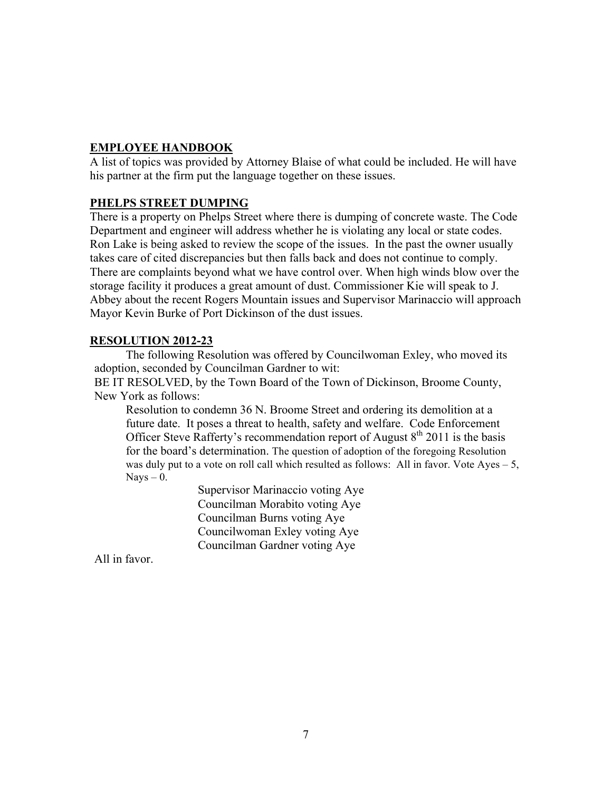# **EMPLOYEE HANDBOOK**

A list of topics was provided by Attorney Blaise of what could be included. He will have his partner at the firm put the language together on these issues.

# **PHELPS STREET DUMPING**

There is a property on Phelps Street where there is dumping of concrete waste. The Code Department and engineer will address whether he is violating any local or state codes. Ron Lake is being asked to review the scope of the issues. In the past the owner usually takes care of cited discrepancies but then falls back and does not continue to comply. There are complaints beyond what we have control over. When high winds blow over the storage facility it produces a great amount of dust. Commissioner Kie will speak to J. Abbey about the recent Rogers Mountain issues and Supervisor Marinaccio will approach Mayor Kevin Burke of Port Dickinson of the dust issues.

# **RESOLUTION 2012-23**

The following Resolution was offered by Councilwoman Exley, who moved its adoption, seconded by Councilman Gardner to wit:

BE IT RESOLVED, by the Town Board of the Town of Dickinson, Broome County, New York as follows:

Resolution to condemn 36 N. Broome Street and ordering its demolition at a future date. It poses a threat to health, safety and welfare. Code Enforcement Officer Steve Rafferty's recommendation report of August  $8<sup>th</sup>$  2011 is the basis for the board's determination. The question of adoption of the foregoing Resolution was duly put to a vote on roll call which resulted as follows: All in favor. Vote Ayes – 5,  $Nays - 0$ .

> Supervisor Marinaccio voting Aye Councilman Morabito voting Aye Councilman Burns voting Aye Councilwoman Exley voting Aye Councilman Gardner voting Aye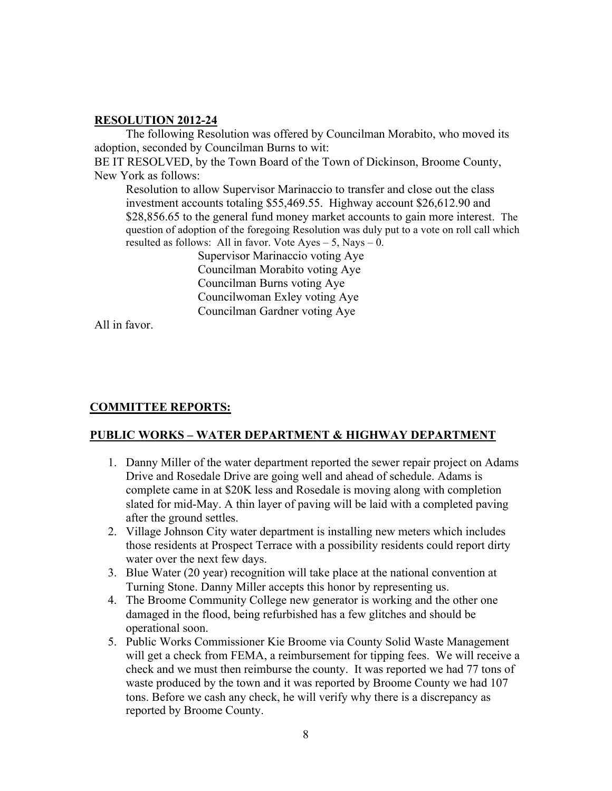The following Resolution was offered by Councilman Morabito, who moved its adoption, seconded by Councilman Burns to wit:

BE IT RESOLVED, by the Town Board of the Town of Dickinson, Broome County, New York as follows:

Resolution to allow Supervisor Marinaccio to transfer and close out the class investment accounts totaling \$55,469.55. Highway account \$26,612.90 and \$28,856.65 to the general fund money market accounts to gain more interest. The question of adoption of the foregoing Resolution was duly put to a vote on roll call which resulted as follows: All in favor. Vote Ayes – 5, Nays – 0.

Supervisor Marinaccio voting Aye Councilman Morabito voting Aye Councilman Burns voting Aye Councilwoman Exley voting Aye Councilman Gardner voting Aye

All in favor.

# **COMMITTEE REPORTS:**

### **PUBLIC WORKS – WATER DEPARTMENT & HIGHWAY DEPARTMENT**

- 1. Danny Miller of the water department reported the sewer repair project on Adams Drive and Rosedale Drive are going well and ahead of schedule. Adams is complete came in at \$20K less and Rosedale is moving along with completion slated for mid-May. A thin layer of paving will be laid with a completed paving after the ground settles.
- 2. Village Johnson City water department is installing new meters which includes those residents at Prospect Terrace with a possibility residents could report dirty water over the next few days.
- 3. Blue Water (20 year) recognition will take place at the national convention at Turning Stone. Danny Miller accepts this honor by representing us.
- 4. The Broome Community College new generator is working and the other one damaged in the flood, being refurbished has a few glitches and should be operational soon.
- 5. Public Works Commissioner Kie Broome via County Solid Waste Management will get a check from FEMA, a reimbursement for tipping fees. We will receive a check and we must then reimburse the county. It was reported we had 77 tons of waste produced by the town and it was reported by Broome County we had 107 tons. Before we cash any check, he will verify why there is a discrepancy as reported by Broome County.